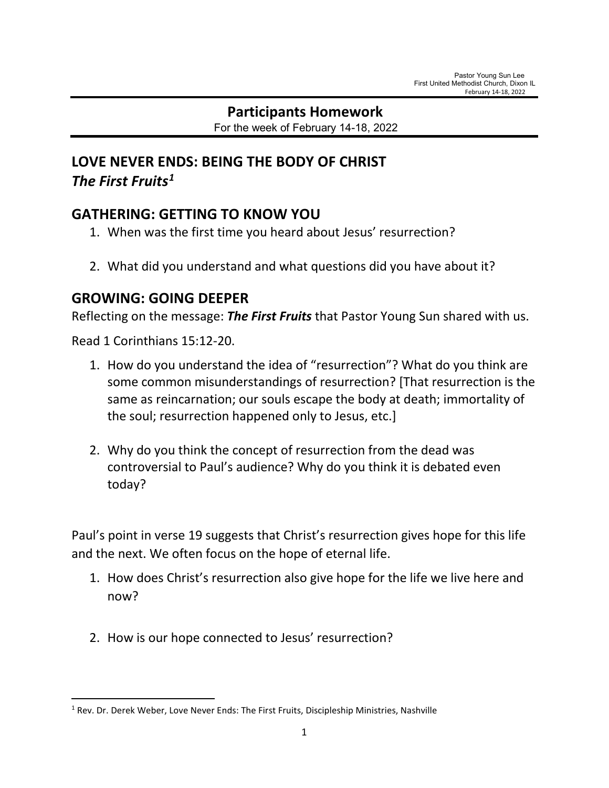# **Participants Homework**

For the week of February 14-18, 2022

## **LOVE NEVER ENDS: BEING THE BODY OF CHRIST** *The First Fruits[1](#page-0-0)*

### **GATHERING: GETTING TO KNOW YOU**

- 1. When was the first time you heard about Jesus' resurrection?
- 2. What did you understand and what questions did you have about it?

### **GROWING: GOING DEEPER**

Reflecting on the message: *The First Fruits* that Pastor Young Sun shared with us.

Read 1 Corinthians 15:12-20.

- 1. How do you understand the idea of "resurrection"? What do you think are some common misunderstandings of resurrection? [That resurrection is the same as reincarnation; our souls escape the body at death; immortality of the soul; resurrection happened only to Jesus, etc.]
- 2. Why do you think the concept of resurrection from the dead was controversial to Paul's audience? Why do you think it is debated even today?

Paul's point in verse 19 suggests that Christ's resurrection gives hope for this life and the next. We often focus on the hope of eternal life.

- 1. How does Christ's resurrection also give hope for the life we live here and now?
- 2. How is our hope connected to Jesus' resurrection?

<span id="page-0-0"></span> $<sup>1</sup>$  Rev. Dr. Derek Weber, Love Never Ends: The First Fruits, Discipleship Ministries, Nashville</sup>